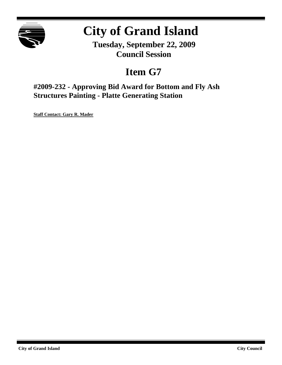

# **City of Grand Island**

**Tuesday, September 22, 2009 Council Session**

# **Item G7**

**#2009-232 - Approving Bid Award for Bottom and Fly Ash Structures Painting - Platte Generating Station**

**Staff Contact: Gary R. Mader**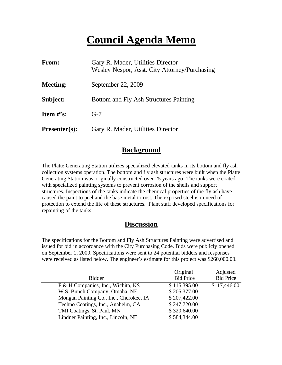# **Council Agenda Memo**

| From:                          | Gary R. Mader, Utilities Director<br>Wesley Nespor, Asst. City Attorney/Purchasing |
|--------------------------------|------------------------------------------------------------------------------------|
| <b>Meeting:</b>                | September 22, 2009                                                                 |
| Subject:                       | Bottom and Fly Ash Structures Painting                                             |
| <b>Item <math>\#</math>'s:</b> | $G-7$                                                                              |
| <b>Presenter(s):</b>           | Gary R. Mader, Utilities Director                                                  |

### **Background**

The Platte Generating Station utilizes specialized elevated tanks in its bottom and fly ash collection systems operation. The bottom and fly ash structures were built when the Platte Generating Station was originally constructed over 25 years ago. The tanks were coated with specialized painting systems to prevent corrosion of the shells and support structures. Inspections of the tanks indicate the chemical properties of the fly ash have caused the paint to peel and the base metal to rust. The exposed steel is in need of protection to extend the life of these structures. Plant staff developed specifications for repainting of the tanks.

#### **Discussion**

The specifications for the Bottom and Fly Ash Structures Painting were advertised and issued for bid in accordance with the City Purchasing Code. Bids were publicly opened on September 1, 2009. Specifications were sent to 24 potential bidders and responses were received as listed below. The engineer's estimate for this project was \$260,000.00.

| Original         | Adjusted         |
|------------------|------------------|
| <b>Bid Price</b> | <b>Bid Price</b> |
| \$115,395.00     | \$117,446.00     |
| \$205,377.00     |                  |
| \$207,422.00     |                  |
| \$247,720.00     |                  |
| \$320,640.00     |                  |
| \$584,344.00     |                  |
|                  |                  |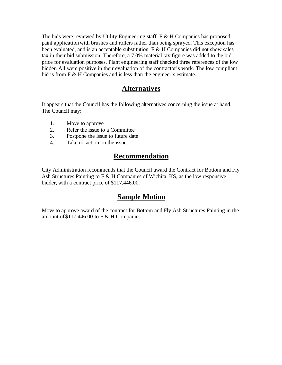The bids were reviewed by Utility Engineering staff. F & H Companies has proposed paint application with brushes and rollers rather than being sprayed. This exception has been evaluated, and is an acceptable substitution.  $F \& H$  Companies did not show sales tax in their bid submission. Therefore, a 7.0% material tax figure was added to the bid price for evaluation purposes. Plant engineering staff checked three references of the low bidder. All were positive in their evaluation of the contractor's work. The low compliant bid is from F & H Companies and is less than the engineer's estimate.

#### **Alternatives**

It appears that the Council has the following alternatives concerning the issue at hand. The Council may:

- 1. Move to approve
- 2. Refer the issue to a Committee
- 3. Postpone the issue to future date
- 4. Take no action on the issue

## **Recommendation**

City Administration recommends that the Council award the Contract for Bottom and Fly Ash Structures Painting to F & H Companies of Wichita, KS, as the low responsive bidder, with a contract price of \$117,446.00.

### **Sample Motion**

Move to approve award of the contract for Bottom and Fly Ash Structures Painting in the amount of \$117,446.00 to F & H Companies.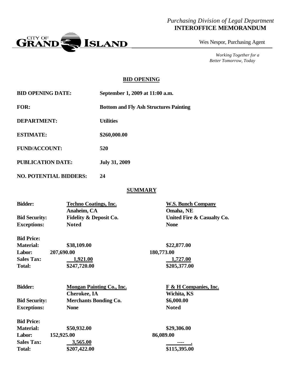#### *Purchasing Division of Legal Department* **INTEROFFICE MEMORANDUM**



Wes Nespor, Purchasing Agent

*Working Together for a Better Tomorrow, Today*

#### **BID OPENING**

| <b>BID OPENING DATE:</b>      | September 1, 2009 at 11:00 a.m.               |
|-------------------------------|-----------------------------------------------|
| FOR:                          | <b>Bottom and Fly Ash Structures Painting</b> |
| <b>DEPARTMENT:</b>            | <b>Utilities</b>                              |
| <b>ESTIMATE:</b>              | \$260,000.00                                  |
| <b>FUND/ACCOUNT:</b>          | 520                                           |
| <b>PUBLICATION DATE:</b>      | <b>July 31, 2009</b>                          |
| <b>NO. POTENTIAL BIDDERS:</b> | 24                                            |

#### **SUMMARY**

| <b>Bidder:</b>       | <b>Techno Coatings, Inc.</b>      | <b>W.S. Bunch Company</b>  |  |
|----------------------|-----------------------------------|----------------------------|--|
|                      | Anaheim, CA                       | Omaha, NE                  |  |
| <b>Bid Security:</b> | <b>Fidelity &amp; Deposit Co.</b> | United Fire & Casualty Co. |  |
| <b>Exceptions:</b>   | <b>Noted</b>                      | <b>None</b>                |  |
| <b>Bid Price:</b>    |                                   |                            |  |
| <b>Material:</b>     | \$38,109.00                       | \$22,877.00                |  |
| Labor:               | 207,690.00                        | 180,773.00                 |  |

| uuvvi o           | $-0.000$     | 1000110000   |
|-------------------|--------------|--------------|
| <b>Sales Tax:</b> | 1,921.00     | 1,727.00     |
| Total:            | \$247,720.00 | \$205,377.00 |
|                   |              |              |

| <b>Bidder:</b>       | <b>Mongan Painting Co., Inc.</b> | F & H Companies, Inc. |  |
|----------------------|----------------------------------|-----------------------|--|
|                      | <b>Cherokee</b> , IA             | Wichita, KS           |  |
| <b>Bid Security:</b> | <b>Merchants Bonding Co.</b>     | \$6,000.00            |  |
| <b>Exceptions:</b>   | <b>None</b>                      | <b>Noted</b>          |  |
| <b>Bid Price:</b>    |                                  |                       |  |
| <b>Material:</b>     | \$50,932.00                      | \$29,306.00           |  |
| 152,925.00<br>Labor: |                                  | 86,089.00             |  |
| <b>Sales Tax:</b>    | 3,565.00                         |                       |  |
| <b>Total:</b>        | \$207,422.00                     | \$115,395.00          |  |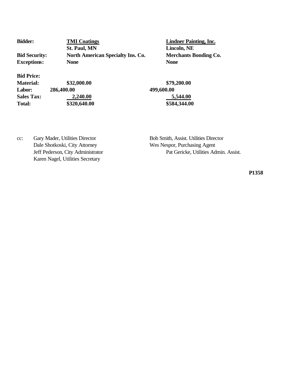| <b>Bidder:</b>       | <b>TMI Coatings</b>                      | <b>Lindner Pa</b> |
|----------------------|------------------------------------------|-------------------|
|                      | <b>St. Paul, MN</b>                      | Lincoln, N        |
| <b>Bid Security:</b> | <b>North American Specialty Ins. Co.</b> | <b>Merchants</b>  |
| <b>Exceptions:</b>   | <b>None</b>                              | <b>None</b>       |
| <b>Bid Price:</b>    |                                          |                   |
| <b>Material:</b>     | \$32,000.00                              | \$79,200.00       |
| Labor:               | 286,400.00                               | 499,600.00        |

**<u>Binting</u>**, Inc. **St. Paul, MN Lincoln, NE Phants Bonding Co.** 

**Sales Tax:** 2,240.00 5,544.00 **Total: \$320,640.00 \$584,344.00**

cc: Gary Mader, Utilities Director Bob Smith, Assist. Utilities Director Dale Shotkoski, City Attorney Wes Nespor, Purchasing Agent Karen Nagel, Utilities Secretary

Jeff Pederson, City Administrator Pat Gericke, Utilities Admin. Assist.

**P1358**